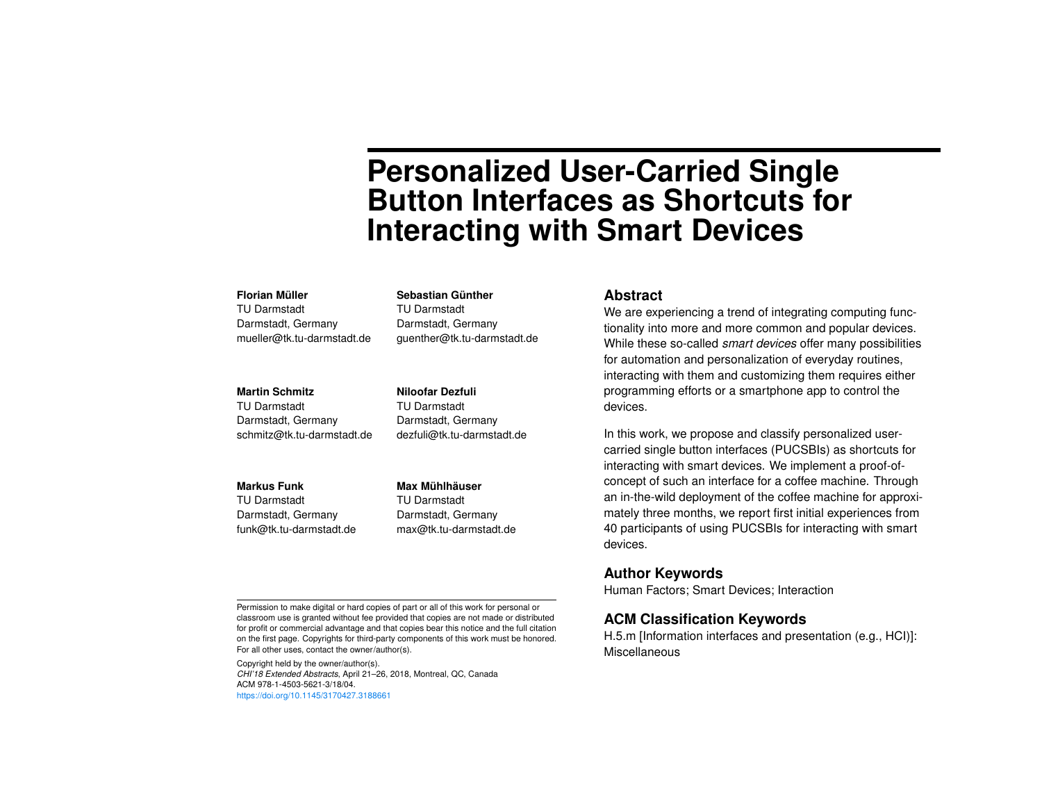# **Personalized User-Carried Single Button Interfaces as Shortcuts for Interacting with Smart Devices**

#### **Florian Müller**

TU Darmstadt Darmstadt, Germany mueller@tk.tu-darmstadt.de

#### **Martin Schmitz**

TU Darmstadt Darmstadt, Germany schmitz@tk.tu-darmstadt.de

#### **Markus Funk**

TU Darmstadt Darmstadt, Germany funk@tk.tu-darmstadt.de

**Niloofar Dezfuli** TU Darmstadt Darmstadt, Germany dezfuli@tk.tu-darmstadt.de

**Sebastian Günther** TU Darmstadt Darmstadt, Germany guenther@tk.tu-darmstadt.de

**Max Mühlhäuser** TU Darmstadt Darmstadt, Germany max@tk.tu-darmstadt.de

#### **Abstract**

We are experiencing a trend of integrating computing functionality into more and more common and popular devices. While these so-called *smart devices* offer many possibilities for automation and personalization of everyday routines, interacting with them and customizing them requires either programming efforts or a smartphone app to control the devices.

In this work, we propose and classify personalized usercarried single button interfaces (PUCSBIs) as shortcuts for interacting with smart devices. We implement a proof-ofconcept of such an interface for a coffee machine. Through an in-the-wild deployment of the coffee machine for approximately three months, we report first initial experiences from 40 participants of using PUCSBIs for interacting with smart devices.

# **Author Keywords**

Human Factors; Smart Devices; Interaction

# **ACM Classification Keywords**

H.5.m [Information interfaces and presentation (e.g., HCI)]: Miscellaneous

Permission to make digital or hard copies of part or all of this work for personal or classroom use is granted without fee provided that copies are not made or distributed for profit or commercial advantage and that copies bear this notice and the full citation on the first page. Copyrights for third-party components of this work must be honored. For all other uses, contact the owner/author(s).

Copyright held by the owner/author(s). *CHI'18 Extended Abstracts*, April 21–26, 2018, Montreal, QC, Canada ACM 978-1-4503-5621-3/18/04. <https://doi.org/10.1145/3170427.3188661>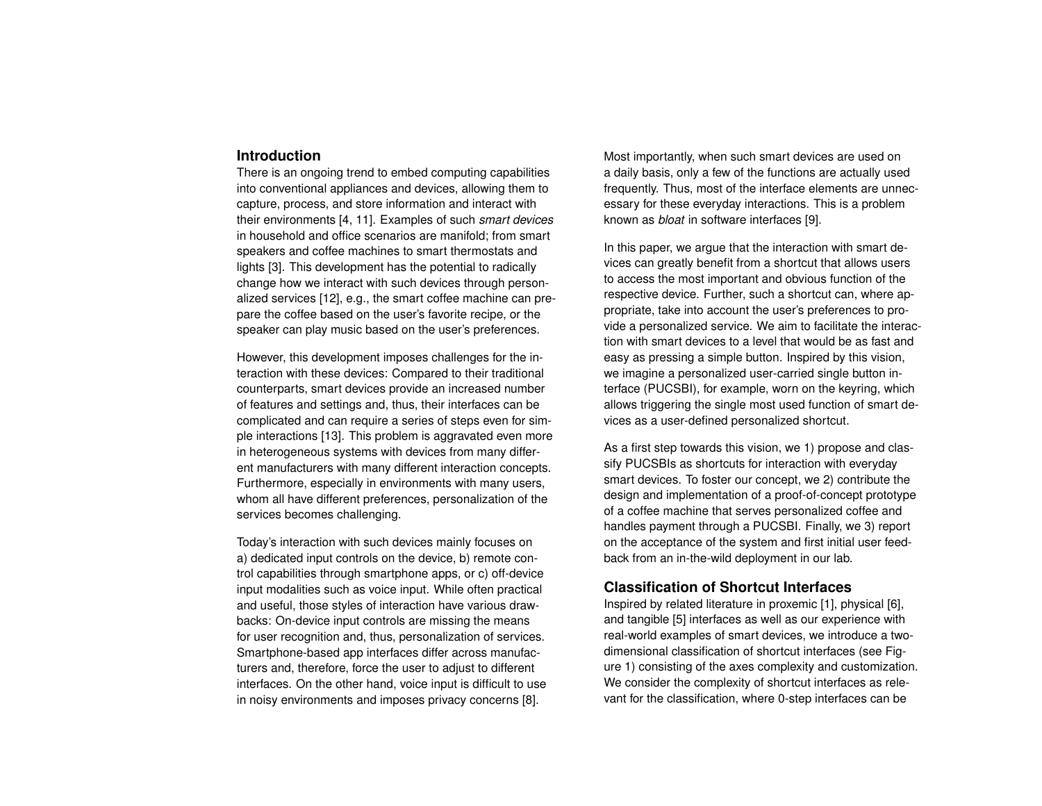## **Introduction**

There is an ongoing trend to embed computing capabilities into conventional appliances and devices, allowing them to capture, process, and store information and interact with their environments [\[4,](#page-5-0) [11\]](#page-5-1). Examples of such *smart devices* in household and office scenarios are manifold; from smart speakers and coffee machines to smart thermostats and lights [\[3\]](#page-5-2). This development has the potential to radically change how we interact with such devices through personalized services [\[12\]](#page-5-3), e.g., the smart coffee machine can prepare the coffee based on the user's favorite recipe, or the speaker can play music based on the user's preferences.

However, this development imposes challenges for the interaction with these devices: Compared to their traditional counterparts, smart devices provide an increased number of features and settings and, thus, their interfaces can be complicated and can require a series of steps even for simple interactions [\[13\]](#page-5-4). This problem is aggravated even more in heterogeneous systems with devices from many different manufacturers with many different interaction concepts. Furthermore, especially in environments with many users, whom all have different preferences, personalization of the services becomes challenging.

Today's interaction with such devices mainly focuses on a) dedicated input controls on the device, b) remote control capabilities through smartphone apps, or c) off-device input modalities such as voice input. While often practical and useful, those styles of interaction have various drawbacks: On-device input controls are missing the means for user recognition and, thus, personalization of services. Smartphone-based app interfaces differ across manufacturers and, therefore, force the user to adjust to different interfaces. On the other hand, voice input is difficult to use in noisy environments and imposes privacy concerns [\[8\]](#page-5-5).

Most importantly, when such smart devices are used on a daily basis, only a few of the functions are actually used frequently. Thus, most of the interface elements are unnecessary for these everyday interactions. This is a problem known as *bloat* in software interfaces [\[9\]](#page-5-6).

In this paper, we argue that the interaction with smart devices can greatly benefit from a shortcut that allows users to access the most important and obvious function of the respective device. Further, such a shortcut can, where appropriate, take into account the user's preferences to provide a personalized service. We aim to facilitate the interaction with smart devices to a level that would be as fast and easy as pressing a simple button. Inspired by this vision, we imagine a personalized user-carried single button interface (PUCSBI), for example, worn on the keyring, which allows triggering the single most used function of smart devices as a user-defined personalized shortcut.

As a first step towards this vision, we 1) propose and classify PUCSBIs as shortcuts for interaction with everyday smart devices. To foster our concept, we 2) contribute the design and implementation of a proof-of-concept prototype of a coffee machine that serves personalized coffee and handles payment through a PUCSBI. Finally, we 3) report on the acceptance of the system and first initial user feedback from an in-the-wild deployment in our lab.

# **Classification of Shortcut Interfaces**

Inspired by related literature in proxemic [\[1\]](#page-5-7), physical [\[6\]](#page-5-8), and tangible [\[5\]](#page-5-9) interfaces as well as our experience with real-world examples of smart devices, we introduce a twodimensional classification of shortcut interfaces (see Figure [1\)](#page-2-0) consisting of the axes complexity and customization. We consider the complexity of shortcut interfaces as relevant for the classification, where 0-step interfaces can be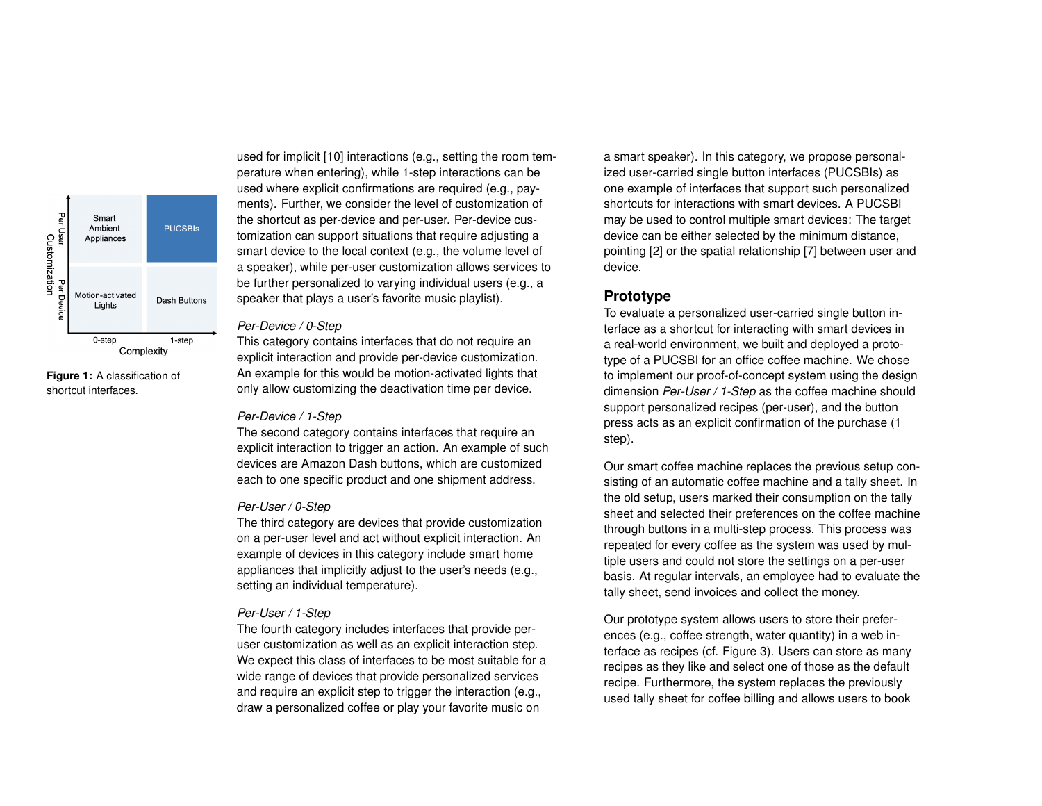

<span id="page-2-0"></span>**Figure 1:** A classification of shortcut interfaces.

used for implicit [\[10\]](#page-5-10) interactions (e.g., setting the room temperature when entering), while 1-step interactions can be used where explicit confirmations are required (e.g., payments). Further, we consider the level of customization of the shortcut as per-device and per-user. Per-device customization can support situations that require adjusting a smart device to the local context (e.g., the volume level of a speaker), while per-user customization allows services to be further personalized to varying individual users (e.g., a speaker that plays a user's favorite music playlist).

### *Per-Device / 0-Step*

This category contains interfaces that do not require an explicit interaction and provide per-device customization. An example for this would be motion-activated lights that only allow customizing the deactivation time per device.

#### *Per-Device / 1-Step*

The second category contains interfaces that require an explicit interaction to trigger an action. An example of such devices are Amazon Dash buttons, which are customized each to one specific product and one shipment address.

#### *Per-User / 0-Step*

The third category are devices that provide customization on a per-user level and act without explicit interaction. An example of devices in this category include smart home appliances that implicitly adjust to the user's needs (e.g., setting an individual temperature).

### *Per-User / 1-Step*

The fourth category includes interfaces that provide peruser customization as well as an explicit interaction step. We expect this class of interfaces to be most suitable for a wide range of devices that provide personalized services and require an explicit step to trigger the interaction (e.g., draw a personalized coffee or play your favorite music on

a smart speaker). In this category, we propose personalized user-carried single button interfaces (PUCSBIs) as one example of interfaces that support such personalized shortcuts for interactions with smart devices. A PUCSBI may be used to control multiple smart devices: The target device can be either selected by the minimum distance, pointing [\[2\]](#page-5-11) or the spatial relationship [\[7\]](#page-5-12) between user and device.

#### **Prototype**

To evaluate a personalized user-carried single button interface as a shortcut for interacting with smart devices in a real-world environment, we built and deployed a prototype of a PUCSBI for an office coffee machine. We chose to implement our proof-of-concept system using the design dimension *Per-User / 1-Step* as the coffee machine should support personalized recipes (per-user), and the button press acts as an explicit confirmation of the purchase (1 step).

Our smart coffee machine replaces the previous setup consisting of an automatic coffee machine and a tally sheet. In the old setup, users marked their consumption on the tally sheet and selected their preferences on the coffee machine through buttons in a multi-step process. This process was repeated for every coffee as the system was used by multiple users and could not store the settings on a per-user basis. At regular intervals, an employee had to evaluate the tally sheet, send invoices and collect the money.

Our prototype system allows users to store their preferences (e.g., coffee strength, water quantity) in a web interface as recipes (cf. Figure [3\)](#page-3-0). Users can store as many recipes as they like and select one of those as the default recipe. Furthermore, the system replaces the previously used tally sheet for coffee billing and allows users to book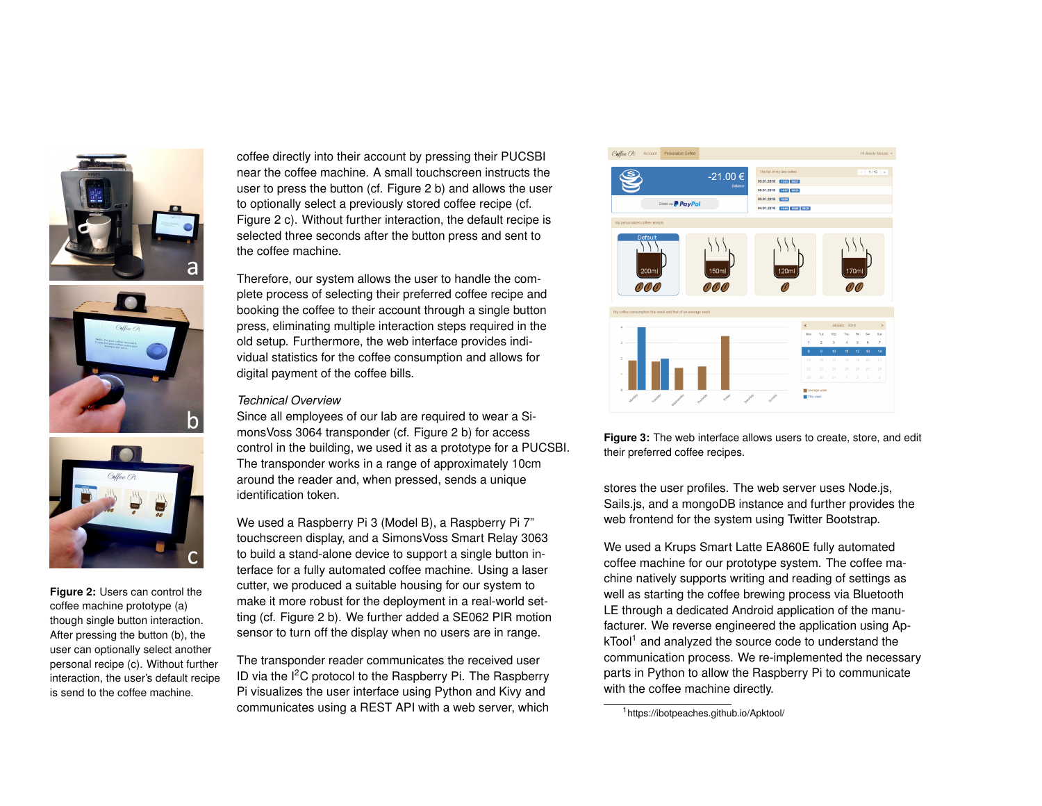





<span id="page-3-1"></span>**Figure 2:** Users can control the coffee machine prototype (a) though single button interaction. After pressing the button (b), the user can optionally select another personal recipe (c). Without further interaction, the user's default recipe is send to the coffee machine.

coffee directly into their account by pressing their PUCSBI near the coffee machine. A small touchscreen instructs the user to press the button (cf. Figure [2](#page-3-1) b) and allows the user to optionally select a previously stored coffee recipe (cf. Figure [2](#page-3-1) c). Without further interaction, the default recipe is selected three seconds after the button press and sent to the coffee machine.

Therefore, our system allows the user to handle the complete process of selecting their preferred coffee recipe and booking the coffee to their account through a single button press, eliminating multiple interaction steps required in the old setup. Furthermore, the web interface provides individual statistics for the coffee consumption and allows for digital payment of the coffee bills.

#### *Technical Overview*

Since all employees of our lab are required to wear a SimonsVoss 3064 transponder (cf. Figure [2](#page-3-1) b) for access control in the building, we used it as a prototype for a PUCSBI. The transponder works in a range of approximately 10cm around the reader and, when pressed, sends a unique identification token.

We used a Raspberry Pi 3 (Model B), a Raspberry Pi 7" touchscreen display, and a SimonsVoss Smart Relay 3063 to build a stand-alone device to support a single button interface for a fully automated coffee machine. Using a laser cutter, we produced a suitable housing for our system to make it more robust for the deployment in a real-world setting (cf. Figure [2](#page-3-1) b). We further added a SE062 PIR motion sensor to turn off the display when no users are in range.

The transponder reader communicates the received user ID via the I<sup>2</sup>C protocol to the Raspberry Pi. The Raspberry Pi visualizes the user interface using Python and Kivy and communicates using a REST API with a web server, which

<span id="page-3-0"></span>

**Figure 3:** The web interface allows users to create, store, and edit their preferred coffee recipes.

stores the user profiles. The web server uses Node.js, Sails.js, and a mongoDB instance and further provides the web frontend for the system using Twitter Bootstrap.

We used a Krups Smart Latte EA860E fully automated coffee machine for our prototype system. The coffee machine natively supports writing and reading of settings as well as starting the coffee brewing process via Bluetooth LE through a dedicated Android application of the manufacturer. We reverse engineered the application using Ap $k$ Tool<sup>[1](#page-3-2)</sup> and analyzed the source code to understand the communication process. We re-implemented the necessary parts in Python to allow the Raspberry Pi to communicate with the coffee machine directly.

<span id="page-3-2"></span><sup>1</sup>https://ibotpeaches.github.io/Apktool/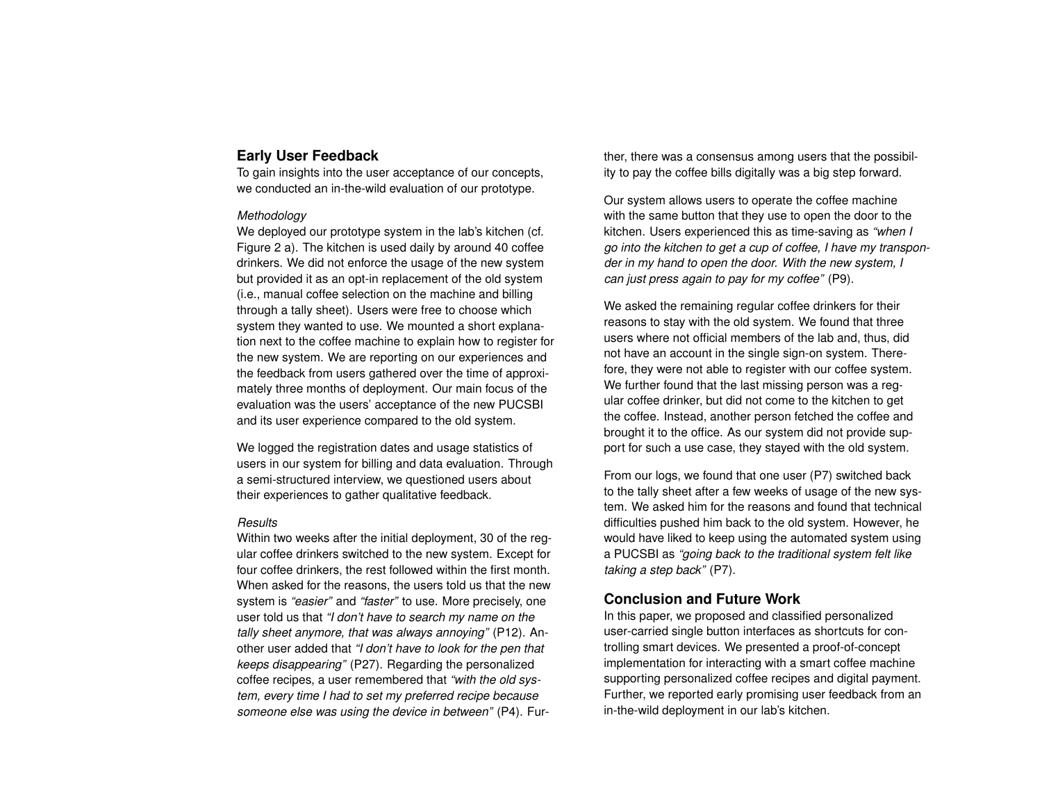# **Early User Feedback**

To gain insights into the user acceptance of our concepts, we conducted an in-the-wild evaluation of our prototype.

#### *Methodology*

We deployed our prototype system in the lab's kitchen (cf. Figure [2](#page-3-1) a). The kitchen is used daily by around 40 coffee drinkers. We did not enforce the usage of the new system but provided it as an opt-in replacement of the old system (i.e., manual coffee selection on the machine and billing through a tally sheet). Users were free to choose which system they wanted to use. We mounted a short explanation next to the coffee machine to explain how to register for the new system. We are reporting on our experiences and the feedback from users gathered over the time of approximately three months of deployment. Our main focus of the evaluation was the users' acceptance of the new PUCSBI and its user experience compared to the old system.

We logged the registration dates and usage statistics of users in our system for billing and data evaluation. Through a semi-structured interview, we questioned users about their experiences to gather qualitative feedback.

#### *Results*

Within two weeks after the initial deployment, 30 of the regular coffee drinkers switched to the new system. Except for four coffee drinkers, the rest followed within the first month. When asked for the reasons, the users told us that the new system is *"easier"* and *"faster"* to use. More precisely, one user told us that *"I don't have to search my name on the tally sheet anymore, that was always annoying"* (P12). Another user added that *"I don't have to look for the pen that keeps disappearing"* (P27). Regarding the personalized coffee recipes, a user remembered that *"with the old system, every time I had to set my preferred recipe because someone else was using the device in between"* (P4). Further, there was a consensus among users that the possibility to pay the coffee bills digitally was a big step forward.

Our system allows users to operate the coffee machine with the same button that they use to open the door to the kitchen. Users experienced this as time-saving as *"when I go into the kitchen to get a cup of coffee, I have my transponder in my hand to open the door. With the new system, I can just press again to pay for my coffee"* (P9).

We asked the remaining regular coffee drinkers for their reasons to stay with the old system. We found that three users where not official members of the lab and, thus, did not have an account in the single sign-on system. Therefore, they were not able to register with our coffee system. We further found that the last missing person was a regular coffee drinker, but did not come to the kitchen to get the coffee. Instead, another person fetched the coffee and brought it to the office. As our system did not provide support for such a use case, they stayed with the old system.

From our logs, we found that one user (P7) switched back to the tally sheet after a few weeks of usage of the new system. We asked him for the reasons and found that technical difficulties pushed him back to the old system. However, he would have liked to keep using the automated system using a PUCSBI as *"going back to the traditional system felt like taking a step back"* (P7).

# **Conclusion and Future Work**

In this paper, we proposed and classified personalized user-carried single button interfaces as shortcuts for controlling smart devices. We presented a proof-of-concept implementation for interacting with a smart coffee machine supporting personalized coffee recipes and digital payment. Further, we reported early promising user feedback from an in-the-wild deployment in our lab's kitchen.